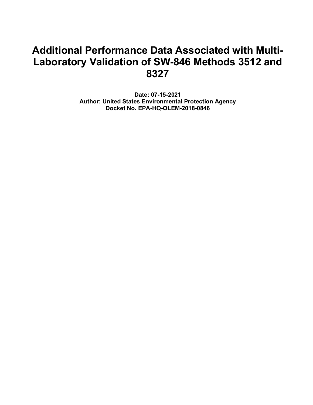## **Additional Performance Data Associated with Multi-Laboratory Validation of SW-846 Methods 3512 and 8327**

**Date: 07-15-2021 Author: United States Environmental Protection Agency Docket No. EPA-HQ-OLEM-2018-0846**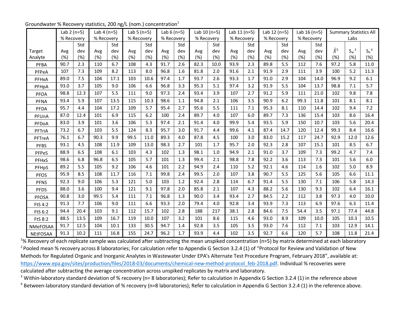|                 | Lab $2(n=5)$ |      | Lab $4(n=5)$ |      | Lab $5(n=5)$ |      | Lab $6(n=5)$ |         | Lab $10(n=5)$ |      | Lab $11(n=5)$ |      | Lab $12$ (n=5) |      | Lab $16(n=5)$ |      |             | <b>Summary Statistics All</b> |                    |
|-----------------|--------------|------|--------------|------|--------------|------|--------------|---------|---------------|------|---------------|------|----------------|------|---------------|------|-------------|-------------------------------|--------------------|
|                 | % Recovery   |      | % Recovery   |      | % Recovery   |      | % Recovery   |         | % Recovery    |      | % Recovery    |      | % Recovery     |      | % Recovery    |      |             | Labs                          |                    |
|                 |              | Std  |              | Std  |              | Std  |              | Std     |               | Std  |               | Std  |                | Std  |               | Std  |             |                               |                    |
| Target          | Avg          | dev  | Avg          | dev  | Avg          | dev  | Avg          | dev     | Avg           | dev  | Avg           | dev  | Avg            | dev  | Avg           | dev  | $\bar{X}^2$ | $S_w^3$                       | $S_b$ <sup>4</sup> |
| Analyte         | (%)          | (%)  | (%)          | (%)  | (%)          | (%)  | (%)          | (%)     | (%)           | (%)  | (%)           | (% ) | (%)            | (%)  | (%)           | (%)  | (%)         | (%)                           | (%)                |
| PFBA            | 90.7         | 2.3  | 110          | 6.7  | 108          | 4.3  | 91.7         | 2.6     | 82.3          | 10.0 | 93.9          | 2.3  | 89.8           | 5.5  | 112           | 7.6  | 97.2        | 5.8                           | 11.0               |
| PFPeA           | 107          | 7.3  | 109          | 8.2  | 113          | 8.0  | 96.8         | 1.6     | 81.8          | 2.0  | 91.6          | 2.1  | 91.9           | 2.9  | 111           | 3.9  | 100         | 5.2                           | 11.3               |
| PFHxA           | 89.0         | 7.5  | 104          | 17.1 | 103          | 10.6 | 97.4         | 1.7     | 93.7          | 2.6  | 93.3          | 1.7  | 91.0           | 2.9  | 104           | 14.0 | 96.9        | 9.2                           | 6.1                |
| PFHpA           | 93.0         | 3.7  | 105          | 9.0  | 106          | 6.6  | 96.8         | 3.3     | 95.3          | 5.1  | 97.4          | 3.2  | 91.9           | 5.5  | 104           | 13.7 | 98.8        | 7.1                           | 5.7                |
| PFOA            | 98.8         | 12.3 | 107          | 5.5  | 111          | 9.0  | 97.3         | 2.4     | 93.4          | 3.9  | 107           | 2.7  | 91.2           | 5.9  | 111           | 21.0 | 102         | 9.8                           | 7.8                |
| <b>PFNA</b>     | 93.4         | 5.9  | 107          | 13.5 | 115          | 10.3 | 98.6         | $1.1\,$ | 94.8          | 2.1  | 106           | 3.5  | 90.9           | 6.2  | 99.3          | 11.8 | 101         | 8.1                           | 8.1                |
| PFDA            | 95.7         | 4.4  | 104          | 17.2 | 109          | 5.7  | 95.4         | 2.7     | 95.6          | 5.5  | 111           | 7.1  | 95.3           | 8.1  | 110           | 14.4 | 102         | 9.4                           | 7.2                |
| PFUnA           | 87.0         | 12.4 | 101          | 6.9  | 115          | 6.2  | 100          | 2.4     | 89.7          | 4.0  | 107           | 6.0  | 89.7           | 7.3  | 136           | 15.4 | 103         | 8.6                           | 16.4               |
| PFDoA           | 83.0         | 3.9  | 101          | 3.6  | 106          | 5.3  | 97.4         | 2.1     | 91.4          | 4.0  | 99.9          | 5.4  | 93.5           | 5.9  | 150           | 10.7 | 103         | 5.6                           | 20.4               |
| PFTriA          | 73.2         | 6.7  | 103          | 5.5  | 124          | 8.3  | 95.7         | 3.0     | 91.7          | 4.4  | 99.6          | 4.1  | 87.4           | 14.7 | 120           | 12.4 | 99.3        | 8.4                           | 16.6               |
| PFTreA          | 76.1         | 6.7  | 90.3         | 9.9  | 99.5         | 11.0 | 89.3         | 4.0     | 87.8          | 4.5  | 100           | 3.0  | 83.0           | 15.2 | 117           | 24.7 | 92.9        | 12.0                          | 12.6               |
| <b>PFBS</b>     | 93.1         | 4.5  | 108          | 11.9 | 109          | 13.0 | 98.3         | 2.7     | 101           | 1.7  | 95.7          | 2.0  | 92.3           | 2.8  | 107           | 15.1 | 101         | 8.5                           | 6.7                |
| PFPeS           | 88.9         | 6.5  | 108          | 6.1  | 103          | 4.3  | 102          | 1.3     | 98.1          | 1.0  | 94.9          | 2.1  | 91.0           | 3.7  | 109           | 7.3  | 99.2        | 4.7                           | 7.4                |
| PFHxS           | 98.6         | 6.8  | 96.8         | 6.5  | 105          | 5.7  | 101          | 1.3     | 99.4          | 2.1  | 98.8          | 7.8  | 92.2           | 3.6  | 113           | 7.3  | 101         | 5.6                           | 6.0                |
| PFHpS           | 89.2         | 5.5  | 105          | 9.2  | 106          | 4.6  | 101          | 2.2     | 94.9          | 2.4  | 110           | 5.2  | 92.1           | 4.6  | 114           | 1.6  | 102         | 5.0                           | 8.9                |
| <b>PFOS</b>     | 95.9         | 8.5  | 108          | 11.7 | 116          | 7.1  | 99.8         | 2.4     | 99.5          | 2.0  | 107           | 3.8  | 90.7           | 5.5  | 125           | 5.6  | 105         | 6.6                           | 11.1               |
| <b>PFNS</b>     | 92.3         | 9.0  | 106          | 5.3  | 121          | 5.0  | 103          | 1.2     | 92.4          | 2.8  | 114           | 6.7  | 91.4           | 5.5  | 130           | 7.1  | 106         | 5.8                           | 14.3               |
| <b>PFDS</b>     | 88.0         | 3.6  | 100          | 9.4  | 121          | 9.1  | 97.8         | 2.0     | 85.8          | 2.1  | 107           | 4.3  | 88.2           | 5.6  | 130           | 9.3  | 102         | 6.4                           | 16.1               |
| <b>PFOSA</b>    | 90.8         | 3.0  | 99.5         | 5.4  | 111          | 7.1  | 96.8         | 1.3     | 90.0          | 3.4  | 93.4          | 2.7  | 84.5           | 2.2  | 112           | 3.8  | 97.3        | 4.0                           | 10.0               |
| FtS 4:2         | 91.3         | 7.7  | 106          | 9.0  | 111          | 6.6  | 93.3         | 2.0     | 79.4          | 4.0  | 92.8          | 3.4  | 93.9           | 7.3  | 113           | 6.9  | 97.6        | 6.3                           | 11.4               |
| FtS 6:2         | 94.4         | 20.4 | 103          | 9.1  | 112          | 15.7 | 102          | 2.8     | 188           | 217  | 38.1          | 2.8  | 84.6           | 7.5  | 54.4          | 3.5  | 97.1        | 77.4                          | 44.8               |
| FtS 8:2         | 88.5         | 13.5 | 109          | 16.7 | 119          | 10.0 | 107          | 3.2     | 101           | 8.6  | 115           | 4.6  | 93.0           | 8.9  | 109           | 10.0 | 105         | 10.3                          | 10.5               |
| <b>NMeFOSAA</b> | 91.7         | 12.5 | 104          | 10.1 | 133          | 30.5 | 94.7         | 1.4     | 92.8          | 3.5  | 105           | 3.5  | 93.0           | 7.6  | 112           | 7.1  | 103         | 12.9                          | 14.1               |
| NEtFOSAA        | 91.3         | 10.2 | 111          | 16.8 | 155          | 24.7 | 96.2         | 1.7     | 93.9          | 4.4  | 102           | 3.5  | 92.7           | 6.6  | 120           | 5.7  | 108         | 11.8                          | 21.4               |

Groundwater % Recovery statistics, 200 ng/L (nom.) concentration1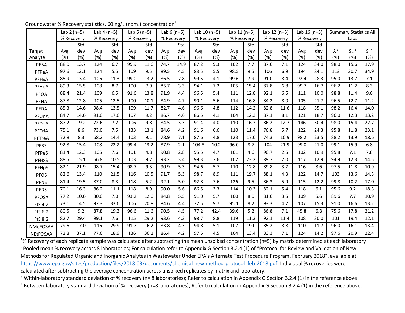Groundwater % Recovery statistics, 60 ng/L (nom.) concentration $1$ 

|                 | Lab $2(n=5)$ |      | Lab $4(n=5)$ |      | Lab $5(n=5)$ |      | Lab $6(n=5)$ |      | Lab $10(n=5)$ |      | Lab $11(n=5)$ |      | Lab $12(n=5)$ |      | Lab $16(n=5)$ |      |             | <b>Summary Statistics All</b> |                    |
|-----------------|--------------|------|--------------|------|--------------|------|--------------|------|---------------|------|---------------|------|---------------|------|---------------|------|-------------|-------------------------------|--------------------|
|                 | % Recovery   |      | % Recovery   |      | % Recovery   |      | % Recovery   |      | % Recovery    |      | % Recovery    |      | % Recovery    |      | % Recovery    |      |             | Labs                          |                    |
|                 |              | Std  |              | Std  |              | Std  |              | Std  |               | Std  |               | Std  |               | Std  |               | Std  |             |                               |                    |
| Target          | Avg          | dev  | Avg          | dev  | Avg          | dev  | Avg          | dev  | Avg           | dev  | Avg           | dev  | Avg           | dev  | Avg           | dev  | $\bar{X}^2$ | $S_w^3$                       | $S_b$ <sup>4</sup> |
| Analyte         | (%)          | (%)  | (%)          | (%)  | (%)          | (%)  | (%)          | (%)  | (%)           | (%)  | (%)           | (%)  | (%)           | (%)  | (%)           | (%)  | (%)         | (%)                           | (%)                |
| PFBA            | 88.0         | 13.7 | 124          | 6.7  | 95.9         | 11.6 | 74.7         | 14.9 | 87.2          | 9.3  | 102           | 7.7  | 87.6          | 7.1  | 124           | 34.0 | 98.0        | 15.6                          | 17.9               |
| PFPeA           | 97.6         | 13.1 | 124          | 5.5  | 109          | 9.5  | 89.5         | 4.5  | 83.5          | 5.5  | 98.5          | 9.5  | 106           | 6.9  | 194           | 84.1 | 113         | 30.7                          | 34.9               |
| PFHxA           | 85.9         | 13.4 | 106          | 11.3 | 99.0         | 13.2 | 86.5         | 7.8  | 99.5          | 4.1  | 99.6          | 7.9  | 91.0          | 8.4  | 92.4          | 28.3 | 95.0        | 13.7                          | 7.1                |
| PFHpA           | 89.3         | 15.5 | 108          | 8.7  | 100          | 7.9  | 85.7         | 3.3  | 94.1          | 7.2  | 105           | 15.4 | 87.8          | 6.8  | 99.7          | 16.7 | 96.2        | 11.2                          | 8.3                |
| <b>PFOA</b>     | 88.4         | 21.4 | 109          | 6.5  | 91.6         | 13.8 | 91.9         | 4.4  | 96.5          | 5.4  | 111           | 12.8 | 92.1          | 6.5  | 111           | 10.0 | 98.8        | 11.4                          | 9.6                |
| PFNA            | 87.8         | 12.8 | 105          | 12.5 | 100          | 10.1 | 84.9         | 4.7  | 90.1          | 5.6  | 114           | 16.8 | 84.2          | 8.0  | 105           | 21.7 | 96.5        | 12.7                          | 11.2               |
| <b>PFDA</b>     | 85.3         | 14.6 | 98.4         | 13.5 | 109          | 11.7 | 82.7         | 4.6  | 96.6          | 4.8  | 112           | 14.2 | 82.8          | 11.6 | 118           | 35.1 | 98.2        | 16.4                          | 14.0               |
| PFUnA           | 84.7         | 14.6 | 91.0         | 17.6 | 107          | 9.2  | 86.7         | 4.6  | 86.5          | 4.1  | 104           | 12.3 | 87.1          | 8.1  | 121           | 18.7 | 96.0        | 12.3                          | 13.2               |
| PFDoA           | 87.2         | 19.2 | 72.6         | 7.2  | 106          | 9.8  | 84.5         | 3.3  | 91.4          | 4.0  | 110           | 16.3 | 86.2          | 12.7 | 146           | 30.4 | 98.0        | 15.4                          | 22.7               |
| PFTriA          | 75.1         | 8.6  | 73.0         | 7.5  | 133          | 13.1 | 84.6         | 4.2  | 91.6          | 6.6  | 110           | 11.4 | 76.8          | 5.7  | 122           | 24.3 | 95.8        | 11.8                          | 23.1               |
| PFTreA          | 72.8         | 8.3  | 68.2         | 14.4 | 103          | 9.1  | 78.9         | 7.1  | 87.6          | 4.8  | 123           | 17.0 | 74.3          | 16.9 | 98.2          | 23.5 | 88.2        | 13.9                          | 18.6               |
| <b>PFBS</b>     | 92.8         | 15.4 | 108          | 22.2 | 99.4         | 13.2 | 87.9         | 2.1  | 104.8         | 10.2 | 96.0          | 8.7  | 104           | 21.9 | 99.0          | 21.0 | 99.1        | 15.9                          | 6.8                |
| PFPeS           | 81.4         | 12.3 | 105          | 7.6  | 101          | 4.8  | 90.8         | 2.8  | 95.5          | 4.7  | 101           | 4.6  | 90.7          | 2.5  | 102           | 10.9 | 95.8        | 7.1                           | 7.8                |
| PFHxS           | 88.5         | 15.1 | 66.8         | 10.5 | 103          | 9.7  | 93.2         | 3.4  | 99.3          | 7.6  | 102           | 23.2 | 89.7          | 2.0  | 117           | 12.9 | 94.9        | 12.3                          | 14.5               |
| PFHpS           | 82.1         | 21.9 | 98.7         | 15.4 | 98.7         | 9.3  | 90.9         | 5.3  | 94.6          | 5.7  | 110           | 12.8 | 89.8          | 3.7  | 116           | 8.6  | 97.5        | 11.8                          | 10.9               |
| <b>PFOS</b>     | 82.6         | 13.4 | 110          | 21.5 | 116          | 10.5 | 91.7         | 5.3  | 98.7          | 8.9  | 111           | 19.7 | 88.1          | 4.3  | 122           | 14.7 | 103         | 13.6                          | 14.3               |
| <b>PFNS</b>     | 81.4         | 19.5 | 87.0         | 8.3  | 118          | 5.2  | 92.1         | 5.0  | 92.8          | 7.6  | 126           | 9.5  | 86.3          | 5.9  | 115           | 12.2 | 99.8        | 10.2                          | 17.0               |
| <b>PFDS</b>     | 70.1         | 16.3 | 86.2         | 11.1 | 118          | 8.9  | 90.0         | 5.6  | 86.5          | 3.3  | 114           | 10.3 | 82.1          | 5.4  | 118           | 6.1  | 95.6        | 9.2                           | 18.3               |
| <b>PFOSA</b>    | 77.2         | 10.6 | 80.0         | 7.0  | 93.2         | 12.0 | 84.8         | 5.5  | 91.0          | 5.7  | 100           | 8.0  | 81.6          | 3.5  | 109           | 5.6  | 89.6        | 7.7                           | 10.9               |
| FtS 4:2         | 73.1         | 14.5 | 97.3         | 33.6 | 106          | 20.8 | 84.6         | 4.4  | 72.5          | 9.7  | 95.1          | 8.2  | 93.3          | 4.7  | 107           | 15.3 | 91.0        | 16.6                          | 13.2               |
| FtS 6:2         | 80.5         | 9.2  | 87.8         | 19.3 | 96.6         | 11.6 | 90.5         | 4.5  | 77.2          | 42.4 | 39.6          | 5.2  | 86.8          | 7.1  | 45.8          | 6.8  | 75.6        | 17.8                          | 21.2               |
| FtS 8:2         | 82.7         | 29.4 | 99.1         | 7.6  | 115          | 29.2 | 93.6         | 4.3  | 98.7          | 8.8  | 119           | 11.3 | 92.1          | 11.4 | 108           | 30.0 | 101         | 19.4                          | 12.1               |
| <b>NMeFOSAA</b> | 79.6         | 17.0 | 116          | 29.9 | 91.7         | 16.2 | 83.8         | 4.3  | 94.8          | 5.1  | 107           | 19.0 | 85.2          | 8.8  | 110           | 11.7 | 96.0        | 16.1                          | 13.4               |
| NEtFOSAA        | 72.8         | 37.1 | 77.6         | 18.9 | 136          | 36.1 | 86.4         | 4.2  | 97.5          | 4.5  | 104           | 13.4 | 83.3          | 7.1  | 124           | 14.2 | 97.6        | 20.9                          | 22.4               |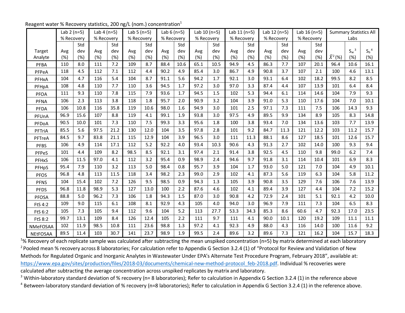Reagent water % Recovery statistics, 200 ng/L (nom.) concentration $1$ 

|              | Lab $2(n=5)$ |      | Lab $4(n=5)$ |      | Lab $5(n=5)$ |      | Lab $6(n=5)$ |      |            | Lab $10(n=5)$ | Lab $11(n=5)$ |      | Lab $12(n=5)$ |      | Lab $16(n=5)$ |      |                 |         | <b>Summary Statistics All</b> |
|--------------|--------------|------|--------------|------|--------------|------|--------------|------|------------|---------------|---------------|------|---------------|------|---------------|------|-----------------|---------|-------------------------------|
|              | % Recovery   |      | % Recovery   |      | % Recovery   |      | % Recovery   |      | % Recovery |               | % Recovery    |      | % Recovery    |      | % Recovery    |      |                 | Labs    |                               |
|              |              | Std  |              | Std  |              | Std  |              | Std  |            | Std           |               | Std  |               | Std  |               | Std  |                 |         |                               |
| Target       | Avg          | dev  | Avg          | dev  | Avg          | dev  | Avg          | dev  | Avg        | dev           | Avg           | dev  | Avg           | dev  | Avg           | dev  |                 | $S_w^3$ | $S_b$ <sup>4</sup>            |
| Analyte      | (% )         | (%)  | (%)          | (%)  | (%)          | (%)  | (%)          | (%)  | (%)        | (%)           | (%)           | (%)  | (% )          | (%)  | (%)           | (%)  | $\bar{X}^2$ (%) | (%)     | (%)                           |
| PFBA         | 110          | 8.0  | 111          | 7.2  | 109          | 8.7  | 88.4         | 10.6 | 65.1       | 10.5          | 94.9          | 4.5  | 86.3          | 7.7  | 107           | 20.1 | 96.4            | 10.6    | 16.1                          |
| PFPeA        | 118          | 4.5  | 112          | 7.1  | 112          | 4.4  | 90.2         | 4.9  | 85.4       | 3.0           | 86.7          | 4.9  | 90.8          | 3.7  | 107           | 2.1  | 100             | 4.6     | 13.1                          |
| PFHxA        | 104          | 4.7  | 116          | 5.4  | 104          | 8.7  | 91.1         | 5.6  | 94.2       | 1.7           | 92.1          | 3.0  | 93.1          | 6.4  | 102           | 18.2 | 99.5            | 8.2     | 8.5                           |
| PFHpA        | 108          | 4.8  | 110          | 7.7  | 110          | 3.6  | 94.5         | 1.7  | 97.2       | 3.0           | 97.0          | 3.3  | 87.4          | 4.4  | 107           | 13.9 | 101             | 6.4     | 8.4                           |
| <b>PFOA</b>  | 111          | 9.3  | 110          | 7.8  | 115          | 7.9  | 93.6         | 1.7  | 94.5       | 1.5           | 102           | 5.3  | 94.4          | 6.1  | 114           | 14.6 | 104             | 7.9     | 9.3                           |
| <b>PFNA</b>  | 106          | 2.3  | 113          | 3.8  | 118          | 1.8  | 95.7         | 2.0  | 90.9       | 3.2           | 104           | 3.9  | 91.0          | 5.3  | 110           | 17.6 | 104             | 7.0     | 10.1                          |
| PFDA         | 106          | 10.8 | 116          | 35.8 | 119          | 10.6 | 98.0         | 1.6  | 94.9       | 3.0           | 101           | 2.5  | 97.1          | 7.3  | 111           | 7.5  | 106             | 14.3    | 9.3                           |
| PFUnA        | 96.9         | 15.6 | 107          | 8.8  | 119          | 4.1  | 99.1         | 1.9  | 93.8       | 3.0           | 97.5          | 4.9  | 89.5          | 9.9  | 134           | 8.9  | 105             | 8.3     | 14.8                          |
| PFDoA        | 90.5         | 10.0 | 101          | 7.3  | 110          | 7.5  | 99.3         | 3.3  | 95.6       | 1.8           | 100           | 3.8  | 93.4          | 7.0  | 134           | 13.6 | 103             | 7.7     | 13.9                          |
| PFTriA       | 85.5         | 5.6  | 97.5         | 21.2 | 130          | 12.0 | 104          | 3.5  | 97.8       | 2.8           | 101           | 9.2  | 84.7          | 11.3 | 121           | 12.2 | 103             | 11.2    | 15.7                          |
| PFTreA       | 84.5         | 9.7  | 83.8         | 21.1 | 115          | 12.9 | 104          | 3.9  | 96.5       | 3.0           | 111           | 11.3 | 88.1          | 8.6  | 127           | 18.5 | 101             | 12.6    | 15.7                          |
| <b>PFBS</b>  | 106          | 4.9  | 114          | 17.1 | 112          | 5.2  | 92.2         | 4.0  | 93.4       | 10.3          | 90.6          | 4.3  | 91.3          | 2.7  | 102           | 14.0 | 100             | 9.3     | 9.4                           |
| PFPeS        | 101          | 4.4  | 109          | 8.2  | 98.5         | 8.5  | 92.1         | 3.1  | 97.4       | 2.1           | 91.4          | 3.8  | 92.5          | 4.5  | 110           | 9.8  | 99.0            | 6.2     | 7.4                           |
| PFHxS        | 106          | 11.5 | 97.0         | 4.1  | 112          | 3.2  | 95.4         | 0.9  | 98.9       | 2.4           | 94.6          | 9.7  | 91.8          | 3.1  | 114           | 10.4 | 101             | 6.9     | 8.3                           |
| PFHpS        | 95.4         | 7.9  | 110          | 3.2  | 113          | 5.0  | 98.4         | 0.8  | 95.7       | 3.9           | 104           | 1.7  | 93.0          | 5.0  | 121           | 7.0  | 104             | 4.9     | 10.1                          |
| <b>PFOS</b>  | 96.8         | 4.8  | 113          | 11.5 | 118          | 3.4  | 98.2         | 2.3  | 99.0       | 2.9           | 102           | 4.1  | 87.3          | 5.6  | 119           | 6.3  | 104             | 5.8     | 11.2                          |
| <b>PFNS</b>  | 104          | 15.4 | 102          | 7.2  | 126          | 9.5  | 98.5         | 0.9  | 94.3       | 1.3           | 105           | 3.9  | 90.8          | 3.5  | 129           | 7.6  | 106             | 7.6     | 13.9                          |
| <b>PFDS</b>  | 96.8         | 11.8 | 98.9         | 5.3  | 127          | 13.0 | 100          | 2.2  | 87.6       | 4.6           | 102           | 4.1  | 89.4          | 3.9  | 127           | 4.4  | 104             | 7.2     | 15.2                          |
| <b>PFOSA</b> | 88.8         | 5.0  | 96.2         | 7.3  | 106          | 1.8  | 94.3         | 1.5  | 87.0       | 3.0           | 90.8          | 4.2  | 72.9          | 2.4  | 101           | 5.1  | 92.1            | 4.2     | 10.0                          |
| FtS 4:2      | 109          | 9.0  | 115          | 6.1  | 108          | 8.1  | 92.9         | 4.3  | 105        | 4.0           | 94.0          | 3.0  | 96.9          | 7.9  | 111           | 7.3  | 104             | 6.5     | 8.3                           |
| FtS 6:2      | 105          | 7.3  | 105          | 9.4  | 112          | 9.6  | 104          | 5.2  | 113        | 27.7          | 53.3          | 34.3 | 85.3          | 8.6  | 60.6          | 4.7  | 92.3            | 17.0    | 23.5                          |
| FtS 8:2      | 99.7         | 13.1 | 109          | 8.4  | 126          | 12.4 | 105          | 2.2  | 111        | 9.7           | 111           | 4.1  | 90.0          | 10.1 | 120           | 19.2 | 109             | 11.1    | 11.1                          |
| NMeFOSAA     | 102          | 11.9 | 98.5         | 10.8 | 111          | 23.6 | 98.8         | 1.3  | 97.2       | 4.1           | 92.3          | 4.9  | 88.0          | 4.3  | 116           | 14.0 | 100             | 11.6    | 9.2                           |
| NEtFOSAA     | 89.5         | 11.4 | 103          | 30.7 | 141          | 23.7 | 98.9         | 1.9  | 99.5       | 2.4           | 89.6          | 3.2  | 89.6          | 7.3  | 121           | 16.2 | 104             | 15.7    | 18.3                          |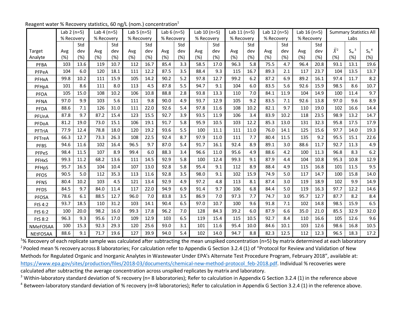|              | Lab $2(n=5)$ |      | Lab $4(n=5)$ |      | Lab $5(n=5)$ |      | Lab $6(n=5)$ |     | Lab $10(n=5)$ |      | Lab $11(n=5)$ |      | Lab $12(n=5)$ |      | Lab $16(n=5)$ |      |             | <b>Summary Statistics All</b> |                    |
|--------------|--------------|------|--------------|------|--------------|------|--------------|-----|---------------|------|---------------|------|---------------|------|---------------|------|-------------|-------------------------------|--------------------|
|              | % Recovery   |      | % Recovery   |      | % Recovery   |      | % Recovery   |     | % Recovery    |      | % Recovery    |      | % Recovery    |      | % Recovery    |      |             | Labs                          |                    |
|              |              | Std  |              | Std  |              | Std  |              | Std |               | Std  |               | Std  |               | Std  |               | Std  |             |                               |                    |
| Target       | Avg          | dev  | Avg          | dev  | Avg          | dev  | Avg          | dev | Avg           | dev  | Avg           | dev  | Avg           | dev  | Avg           | dev  | $\bar{X}^2$ | $S_w^3$                       | $S_b$ <sup>4</sup> |
| Analyte      | (%)          | (%)  | (%)          | (%)  | (%)          | (%)  | (%)          | (%) | (%)           | (%)  | (%)           | (%)  | (%)           | (%)  | (%)           | (%)  | (%)         | (%)                           | (%)                |
| PFBA         | 103          | 13.6 | 119          | 10.7 | 112          | 16.7 | 85.4         | 3.3 | 58.5          | 17.0 | 96.3          | 5.8  | 75.5          | 4.7  | 96.4          | 20.8 | 93.1        | 13.1                          | 19.6               |
| PFPeA        | 104          | 6.0  | 120          | 18.1 | 111          | 12.2 | 87.5         | 3.5 | 88.4          | 9.3  | 115           | 16.7 | 89.3          | 2.1  | 117           | 23.7 | 104         | 13.5                          | 13.7               |
| PFHxA        | 99.8         | 10.2 | 111          | 15.9 | 105          | 14.2 | 90.2         | 5.2 | 97.8          | 12.7 | 99.2          | 6.2  | 87.2          | 6.9  | 89.2          | 16.1 | 97.4        | 11.7                          | 8.2                |
| PFHpA        | 101          | 8.6  | 111          | 8.0  | 113          | 4.5  | 87.8         | 5.5 | 94.7          | 9.1  | 104           | 6.0  | 83.5          | 5.6  | 92.6          | 15.9 | 98.5        | 8.6                           | 10.7               |
| <b>PFOA</b>  | 105          | 15.0 | 108          | 10.2 | 106          | 10.8 | 88.8         | 2.8 | 93.8          | 13.3 | 110           | 7.0  | 84.1          | 11.9 | 104           | 14.9 | 100         | 11.4                          | 9.7                |
| PFNA         | 97.0         | 9.9  | 103          | 5.6  | 111          | 9.8  | 90.0         | 4.9 | 93.7          | 12.9 | 105           | 9.2  | 83.5          | 7.1  | 92.6          | 13.8 | 97.0        | 9.6                           | 8.9                |
| PFDA         | 88.6         | 7.1  | 126          | 31.0 | 111          | 22.0 | 92.6         | 5.4 | 97.8          | 11.6 | 108           | 10.2 | 82.1          | 9.7  | 110           | 19.0 | 102         | 16.6                          | 14.4               |
| PFUnA        | 87.8         | 9.7  | 87.2         | 15.4 | 123          | 15.5 | 92.7         | 3.9 | 93.5          | 11.9 | 106           | 3.4  | 83.9          | 10.2 | 118           | 23.5 | 98.9        | 13.2                          | 14.7               |
| PFDoA        | 81.2         | 19.0 | 73.0         | 15.1 | 106          | 19.1 | 91.7         | 5.8 | 95.9          | 10.5 | 103           | 12.2 | 85.3          | 13.0 | 131           | 32.3 | 95.8        | 17.5                          | 17.9               |
| PFTriA       | 77.9         | 12.4 | 78.8         | 18.0 | 120          | 19.2 | 93.6         | 5.5 | 100           | 11.1 | 111           | 11.0 | 76.0          | 14.1 | 125           | 15.6 | 97.7        | 14.0                          | 19.3               |
| PFTreA       | 66.3         | 12.7 | 73.3         | 26.3 | 108          | 22.5 | 92.4         | 8.7 | 97.9          | 11.0 | 111           | 7.7  | 80.4          | 11.5 | 135           | 9.2  | 95.5        | 15.1                          | 22.6               |
| <b>PFBS</b>  | 94.6         | 11.6 | 102          | 16.4 | 96.5         | 9.7  | 87.0         | 5.4 | 91.7          | 16.1 | 92.4          | 8.9  | 89.1          | 3.0  | 88.6          | 11.7 | 92.7        | 11.3                          | 4.9                |
| PFPeS        | 98.4         | 11.5 | 107          | 8.9  | 99.4         | 6.0  | 88.3         | 3.4 | 96.6          | 11.0 | 95.6          | 4.9  | 88.6          | 4.2  | 100           | 11.3 | 96.8        | 8.3                           | $6.2$              |
| PFHxS        | 99.3         | 11.2 | 68.2         | 13.6 | 111          | 14.5 | 92.9         | 5.8 | 100           | 12.4 | 99.3          | 9.1  | 87.9          | 4.4  | 104           | 10.8 | 95.3        | 10.8                          | 12.9               |
| PFHpS        | 95.7         | 16.5 | 104          | 10.4 | 107          | 13.0 | 92.8         | 5.8 | 95.4          | 9.1  | 112           | 8.9  | 88.4          | 4.9  | 115           | 16.8 | 101         | 11.5                          | 9.5                |
| <b>PFOS</b>  | 90.5         | 5.0  | 112          | 35.3 | 113          | 11.6 | 92.8         | 3.5 | 98.0          | 9.1  | 102           | 15.9 | 74.9          | 5.0  | 117           | 14.7 | 100         | 15.8                          | 14.0               |
| <b>PFNS</b>  | 80.4         | 10.2 | 103          | 4.5  | 121          | 13.4 | 92.9         | 4.9 | 97.2          | 4.8  | 113           | 8.1  | 87.4          | 3.0  | 119           | 18.9 | 102         | 9.9                           | 14.9               |
| <b>PFDS</b>  | 84.5         | 9.7  | 84.0         | 11.4 | 117          | 22.0 | 94.9         | 6.9 | 91.4          | 9.7  | 106           | 6.8  | 84.4          | 5.0  | 119           | 16.3 | 97.7        | 12.2                          | 14.6               |
| <b>PFOSA</b> | 78.6         | 6.1  | 88.5         | 12.7 | 96.0         | 7.0  | 83.8         | 3.5 | 86.9          | 7.0  | 97.3          | 7.7  | 74.7          | 3.0  | 95.7          | 12.7 | 87.7        | 8.2                           | 8.4                |
| FtS 4:2      | 93.7         | 18.5 | 110          | 31.2 | 103          | 14.1 | 90.4         | 6.5 | 97.0          | 10.7 | 100           | 9.6  | 91.8          | 7.1  | 102           | 14.8 | 98.5        | 15.9                          | 6.5                |
| FtS 6:2      | 100          | 20.0 | 98.2         | 16.0 | 99.3         | 17.8 | 96.2         | 7.0 | 128           | 84.3 | 39.2          | 6.0  | 87.9          | 6.6  | 35.0          | 21.0 | 85.5        | 32.9                          | 32.0               |
| FtS 8:2      | 96.3         | 9.3  | 95.6         | 17.0 | 109          | 12.9 | 103          | 6.5 | 119           | 15.4 | 115           | 10.5 | 92.7          | 8.4  | 110           | 16.6 | 105         | 12.6                          | 9.6                |
| NMeFOSAA     | 100          | 15.3 | 92.3         | 29.3 | 120          | 25.6 | 93.0         | 3.1 | 101           | 11.6 | 95.4          | 10.0 | 84.6          | 10.1 | 103           | 12.6 | 98.6        | 16.8                          | 10.5               |
| NEtFOSAA     | 88.6         | 9.1  | 71.7         | 19.6 | 127          | 39.9 | 94.0         | 5.4 | 102           | 14.0 | 94.7          | 8.8  | 82.3          | 12.5 | 112           | 12.3 | 96.5        | 18.3                          | 17.2               |

Reagent water % Recovery statistics, 60 ng/L (nom.) concentration $1$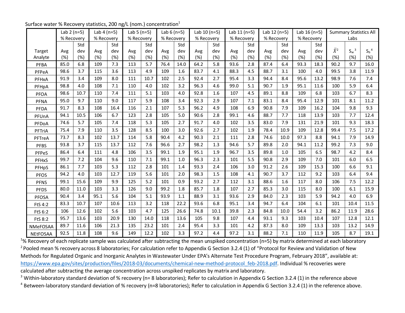Surface water % Recovery statistics, 200 ng/L (nom.) concentration<sup>1</sup>

|              | Lab $2(n=5)$ |      | Lab $4(n=5)$ |      | Lab $5(n=5)$ |      | Lab $6(n=5)$ |      | Lab $10(n=5)$ |      | Lab $11(n=5)$ |     | Lab $12(n=5)$ |      | Lab $16(n=5)$ |      |             | <b>Summary Statistics All</b> |                    |
|--------------|--------------|------|--------------|------|--------------|------|--------------|------|---------------|------|---------------|-----|---------------|------|---------------|------|-------------|-------------------------------|--------------------|
|              | % Recovery   |      | % Recovery   |      | % Recovery   |      | % Recovery   |      | % Recovery    |      | % Recovery    |     | % Recovery    |      | % Recovery    |      |             | Labs                          |                    |
|              |              | Std  |              | Std  |              | Std  |              | Std  |               | Std  |               | Std |               | Std  |               | Std  |             |                               |                    |
| Target       | Avg          | dev  | Avg          | dev  | Avg          | dev  | Avg          | dev  | Avg           | dev  | Avg           | dev | Avg           | dev  | Avg           | dev  | $\bar{X}^2$ | $S_w^3$                       | $S_b$ <sup>4</sup> |
| Analyte      | (% )         | (%)  | (%)          | (%)  | (%)          | (%)  | (%)          | (%)  | (%)           | (%)  | (%)           | (%) | (%)           | (%)  | (%)           | (%)  | (%)         | (%)                           | (%)                |
| PFBA         | 85.0         | 6.8  | 109          | 7.3  | 113          | 5.7  | 76.4         | 14.0 | 64.2          | 5.8  | 93.6          | 2.8 | 87.4          | 6.4  | 93.3          | 18.3 | 90.2        | 9.7                           | 16.0               |
| PFPeA        | 98.6         | 3.7  | 115          | 3.6  | 113          | 4.9  | 109          | 1.6  | 83.7          | 4.1  | 88.3          | 4.5 | 88.7          | 3.1  | 100           | 4.0  | 99.5        | 3.8                           | 11.9               |
| PFHxA        | 91.9         | 3.4  | 109          | 8.0  | 111          | 10.7 | 102          | 2.5  | 92.4          | 2.7  | 95.4          | 3.3 | 94.4          | 8.4  | 95.6          | 13.2 | 98.9        | 7.6                           | 7.4                |
| PFHpA        | 98.8         | 4.0  | 108          | 7.1  | 110          | 4.0  | 102          | 3.2  | 96.3          | 4.6  | 99.0          | 5.1 | 90.7          | 1.9  | 95.1          | 11.6 | 100         | 5.9                           | 6.4                |
| <b>PFOA</b>  | 98.6         | 10.7 | 110          | 7.4  | 111          | 5.1  | 103          | 4.0  | 92.8          | 1.6  | 107           | 4.5 | 89.1          | 8.8  | 109           | 6.8  | 103         | 6.7                           | 8.3                |
| <b>PFNA</b>  | 95.0         | 9.7  | 110          | 9.0  | 117          | 5.9  | 108          | 3.4  | 92.3          | 2.9  | 107           | 7.1 | 83.1          | 8.4  | 95.4          | 12.9 | 101         | 8.1                           | 11.2               |
| PFDA         | 91.7         | 8.3  | 108          | 16.4 | 116          | 2.1  | 107          | 5.3  | 96.2          | 4.9  | 108           | 6.9 | 90.8          | 7.9  | 109           | 16.2 | 104         | 9.8                           | 9.3                |
| PFUnA        | 94.1         | 10.5 | 106          | 6.7  | 123          | 2.8  | 105          | 5.0  | 90.6          | 2.8  | 99.1          | 4.6 | 88.7          | 7.7  | 118           | 13.9 | 103         | 7.7                           | 12.4               |
| PFDoA        | 74.6         | 5.7  | 105          | 7.4  | 118          | 5.3  | 105          | 2.7  | 91.7          | 4.0  | 102           | 3.5 | 83.0          | 7.9  | 131           | 21.9 | 101         | 9.3                           | 18.3               |
| PFTriA       | 75.4         | 7.9  | 110          | 3.5  | 128          | 8.5  | 100          | 3.0  | 92.6          | 2.7  | 102           | 1.9 | 78.4          | 10.9 | 109           | 12.8 | 99.4        | 7.5                           | 17.2               |
| PFTreA       | 73.7         | 8.3  | 102          | 13.7 | 114          | 5.8  | 90.4         | 4.2  | 90.3          | 2.1  | 111           | 2.8 | 74.6          | 10.0 | 97.3          | 8.8  | 94.1        | 7.9                           | 14.9               |
| <b>PFBS</b>  | 93.8         | 3.7  | 115          | 13.7 | 112          | 7.6  | 96.6         | 2.7  | 98.2          | 1.3  | 94.6          | 5.7 | 89.8          | 2.0  | 94.1          | 11.2 | 99.2        | 7.3                           | 9.0                |
| PFPeS        | 86.4         | 6.4  | 111          | 4.8  | 106          | 3.5  | 99.1         | 1.9  | 95.1          | 1.9  | 96.7          | 3.5 | 89.8          | 1.0  | 105           | 6.5  | 98.7        | 4.2                           | 8.4                |
| PFHxS        | 99.7         | 7.2  | 104          | 9.6  | 110          | 7.1  | 99.1         | 1.0  | 96.3          | 2.3  | 101           | 5.5 | 90.8          | 2.9  | 109           | 7.0  | 101         | 6.0                           | 6.5                |
| PFHpS        | 86.1         | 7.7  | 103          | 5.3  | 112          | 2.8  | 101          | 1.4  | 93.3          | 2.4  | 106           | 3.0 | 91.2          | 2.6  | 109           | 15.3 | 100         | 6.6                           | 9.1                |
| <b>PFOS</b>  | 94.2         | 4.0  | 103          | 12.7 | 119          | 5.6  | 101          | 2.0  | 98.3          | 1.5  | 108           | 4.1 | 90.7          | 3.7  | 112           | 9.2  | 103         | 6.4                           | 9.4                |
| <b>PFNS</b>  | 99.1         | 15.6 | 109          | 9.9  | 125          | 5.2  | 101          | 0.9  | 93.2          | 2.7  | 112           | 3.1 | 88.6          | 1.6  | 117           | 8.0  | 106         | 7.5                           | 12.2               |
| <b>PFDS</b>  | 80.0         | 11.0 | 103          | 3.3  | 126          | 9.0  | 99.2         | 1.8  | 85.7          | 1.8  | 107           | 2.7 | 85.3          | 3.0  | 115           | 8.0  | 100         | 6.1                           | 15.9               |
| <b>PFOSA</b> | 90.4         | 3.4  | 95.1         | 5.6  | 104          | 5.1  | 93.9         | 1.1  | 88.9          | 3.1  | 93.6          | 2.9 | 84.0          | 2.3  | 103           | 5.9  | 94.2        | 4.0                           | 6.9                |
| FtS 4:2      | 83.3         | 10.7 | 107          | 10.6 | 113          | 3.2  | 118          | 22.2 | 93.6          | 6.8  | 95.1          | 3.4 | 94.7          | 6.4  | 104           | 6.1  | 101         | 10.4                          | 11.5               |
| FtS 6:2      | 106          | 12.6 | 102          | 5.6  | 103          | 4.7  | 125          | 26.6 | 74.8          | 10.1 | 39.8          | 2.3 | 84.8          | 10.0 | 54.4          | 3.2  | 86.2        | 11.9                          | 28.6               |
| FtS 8:2      | 95.7         | 13.6 | 103          | 20.9 | 130          | 14.0 | 118          | 13.6 | 105           | 9.8  | 107           | 4.4 | 93.1          | 9.3  | 103           | 10.4 | 107         | 12.8                          | 12.1               |
| NMeFOSAA     | 89.7         | 11.6 | 106          | 21.3 | 135          | 23.2 | 101          | 2.4  | 95.4          | 3.3  | 101           | 4.2 | 87.3          | 8.0  | 109           | 13.3 | 103         | 13.2                          | 14.9               |
| NEtFOSAA     | 92.5         | 11.8 | 108          | 9.6  | 149          | 12.2 | 102          | 3.3  | 97.2          | 4.4  | 97.2          | 3.1 | 88.2          | 7.1  | 110           | 11.9 | 105         | 8.7                           | 19.1               |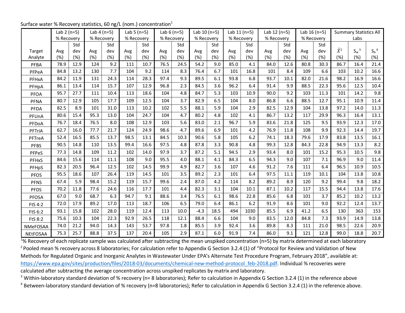Surface water % Recovery statistics, 60 ng/L (nom.) concentration $1$ 

|              | Lab $2(n=5)$ |      | Lab $4(n=5)$ |      | Lab $5(n=5)$ |      | Lab $6(n=5)$ |      | Lab $10(n=5)$ |      | Lab $11(n=5)$ |      | Lab $12(n=5)$ |      | Lab $16(n=5)$ |            |             | <b>Summary Statistics All</b> |                    |
|--------------|--------------|------|--------------|------|--------------|------|--------------|------|---------------|------|---------------|------|---------------|------|---------------|------------|-------------|-------------------------------|--------------------|
|              | % Recovery   |      | % Recovery   |      | % Recovery   |      | % Recovery   |      | % Recovery    |      | % Recovery    |      | % Recovery    |      |               | % Recovery |             | Labs                          |                    |
|              |              | Std  |              | Std  |              | Std  |              | Std  |               | Std  |               | Std  |               | Std  |               | Std        |             |                               |                    |
| Target       | Avg          | dev  | Avg          | dev  | Avg          | dev  | Avg          | dev  | Avg           | dev  | Avg           | dev  | Avg           | dev  | Avg           | dev        | $\bar{X}^2$ | $S_w^3$                       | $S_b$ <sup>4</sup> |
| Analyte      | (%)          | (%)  | (%)          | (%)  | (%)          | (%)  | (%)          | (%)  | (%)           | (%)  | (%)           | (%)  | (%)           | (%)  | (%)           | (%)        | (%)         | (%)                           | (%)                |
| PFBA         | 78.9         | 12.9 | 124          | 9.2  | 111          | 10.7 | 76.5         | 24.5 | 54.2          | 9.0  | 85.0          | 4.1  | 84.0          | 12.6 | 80.8          | 30.3       | 86.7        | 16.4                          | 21.4               |
| PFPeA        | 84.8         | 13.2 | 130          | 7.7  | 104          | 9.2  | 114          | 8.3  | 76.4          | 6.7  | 101           | 16.8 | 101           | 8.4  | 109           | 6.6        | 103         | 10.2                          | 16.6               |
| PFHxA        | 84.2         | 11.9 | 131          | 24.3 | 114          | 28.3 | 97.4         | 9.3  | 89.5          | 6.1  | 93.8          | 6.8  | 93.7          | 10.1 | 82.0          | 21.6       | 98.2        | 16.9                          | 16.6               |
| PFHpA        | 86.1         | 13.4 | 114          | 15.7 | 107          | 12.9 | 96.8         | 2.3  | 84.5          | 3.6  | 96.2          | 6.4  | 91.4          | 9.9  | 88.5          | 22.3       | 95.6        | 12.5                          | 10.4               |
| <b>PFOA</b>  | 95.7         | 27.7 | 111          | 10.4 | 113          | 18.6 | 104          | 4.8  | 84.7          | 5.3  | 103           | 10.9 | 90.0          | 9.2  | 103           | 11.3       | 101         | 14.2                          | 9.8                |
| <b>PFNA</b>  | 80.7         | 12.9 | 105          | 17.7 | 109          | 12.5 | 104          | 3.7  | 82.9          | 6.5  | 104           | 8.0  | 86.8          | 6.6  | 88.5          | 12.7       | 95.1        | 10.9                          | 11.4               |
| PFDA         | 82.5         | 8.9  | 101          | 31.0 | 113          | 10.2 | 102          | 5.5  | 88.1          | 5.9  | 104           | 2.9  | 82.5          | 12.9 | 104           | 13.8       | 97.2        | 14.0                          | 11.3               |
| PFUnA        | 80.6         | 15.4 | 95.3         | 13.0 | 104          | 24.7 | 104          | 4.7  | 80.2          | 4.8  | 102           | 4.1  | 86.7          | 13.2 | 117           | 29.9       | 96.3        | 16.4                          | 13.1               |
| PFDoA        | 76.7         | 18.4 | 76.5         | 8.0  | 108          | 12.9 | 103          | 5.6  | 83.0          | 2.1  | 96.7          | 5.9  | 83.6          | 21.8 | 125           | 9.5        | 93.9        | 12.3                          | 17.0               |
| PFTriA       | 62.7         | 16.0 | 77.7         | 21.7 | 124          | 24.9 | 98.6         | 4.7  | 89.6          | 6.9  | 101           | 4.2  | 76.9          | 11.8 | 108           | 9.9        | 92.3        | 14.4                          | 19.7               |
| PFTreA       | 52.4         | 16.5 | 85.5         | 13.7 | 98.5         | 13.1 | 84.5         | 10.3 | 90.6          | 5.8  | 105           | 6.2  | 74.1          | 18.3 | 79.6          | 17.9       | 83.8        | 13.5                          | 16.1               |
| <b>PFBS</b>  | 90.5         | 14.8 | 110          | 13.5 | 99.4         | 16.6 | 97.5         | 4.8  | 87.8          | 3.3  | 90.8          | 4.8  | 99.3          | 12.8 | 84.3          | 22.8       | 94.9        | 13.3                          | 8.2                |
| PFPeS        | 77.3         | 14.8 | 109          | 11.2 | 102          | 14.0 | 97.9         | 3.7  | 87.2          | 5.1  | 94.5          | 2.9  | 93.4          | 8.0  | 101           | 15.2       | 95.3        | 10.5                          | 9.8                |
| PFHxS        | 84.6         | 15.6 | 114          | 11.1 | 108          | 9.0  | 95.5         | 4.0  | 88.1          | 4.1  | 84.3          | 6.5  | 94.3          | 9.0  | 107           | 7.1        | 96.9        | 9.0                           | 11.4               |
| PFHpS        | 82.3         | 20.5 | 96.4         | 12.5 | 102          | 14.5 | 99.9         | 4.9  | 82.7          | 3.6  | 107           | 4.6  | 91.2          | 7.6  | 111           | 6.4        | 96.5        | 10.9                          | 10.5               |
| <b>PFOS</b>  | 95.5         | 18.6 | 107          | 26.4 | 119          | 14.5 | 101          | 3.5  | 89.2          | 2.3  | 101           | 6.4  | 97.5          | 11.1 | 119           | 10.1       | 104         | 13.8                          | 10.8               |
| <b>PFNS</b>  | 67.4         | 5.9  | 98.4         | 15.2 | 119          | 15.7 | 99.6         | 2.4  | 87.0          | 4.2  | 114           | 8.2  | 89.2          | 8.9  | 120           | 9.2        | 99.4        | 9.8                           | 18.2               |
| <b>PFDS</b>  | 70.2         | 11.8 | 77.6         | 24.6 | 116          | 17.7 | 101          | 4.4  | 82.3          | 3.1  | 104           | 10.1 | 87.1          | 10.2 | 117           | 15.5       | 94.4        | 13.8                          | 17.6               |
| <b>PFOSA</b> | 67.0         | 9.0  | 68.7         | 6.3  | 94.7         | 9.1  | 88.6         | 3.4  | 76.5          | 6.1  | 98.6          | 22.8 | 85.6          | 6.8  | 101           | 3.7        | 85.2        | 10.2                          | 13.2               |
| FtS 4:2      | 72.0         | 17.9 | 89.2         | 17.0 | 113          | 18.7 | 106          | 6.5  | 79.0          | 6.4  | 86.1          | 6.2  | 91.9          | 8.6  | 101           | 9.0        | 92.2        | 12.4                          | 13.7               |
| FtS 6:2      | 93.1         | 15.8 | 102          | 28.0 | 119          | 12.4 | 113          | 10.0 | $-4.3$        | 18.5 | 494           | 1030 | 85.5          | 6.9  | 41.2          | 6.5        | 130         | 363                           | 153                |
| FtS 8:2      | 75.6         | 10.3 | 104          | 22.3 | 92.9         | 26.5 | 118          | 12.1 | 88.4          | 6.6  | 104           | 9.0  | 83.5          | 12.0 | 84.8          | 7.3        | 93.9        | 14.9                          | 13.8               |
| NMeFOSAA     | 74.0         | 21.2 | 94.0         | 14.3 | 143          | 53.7 | 97.8         | 1.8  | 85.5          | 3.9  | 92.4          | 3.6  | 89.8          | 8.3  | 111           | 21.0       | 98.5        | 22.6                          | 20.9               |
| NEtFOSAA     | 75.3         | 25.7 | 88.8         | 37.5 | 137          | 20.4 | 105          | 2.9  | 87.1          | 6.0  | 91.9          | 7.4  | 86.0          | 9.1  | 121           | 12.8       | 99.0        | 18.8                          | 20.7               |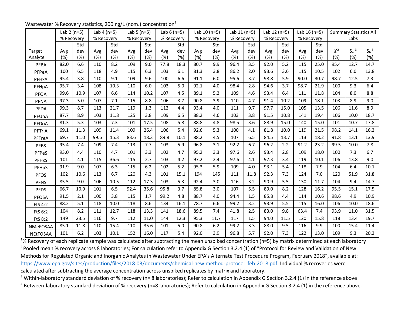Wastewater % Recovery statistics, 200 ng/L (nom.) concentration $1$ 

|              | Lab $2(n=5)$ |      | Lab $4(n=5)$ |      | Lab $5(n=5)$ |      |      | Lab $6(n=5)$ |      | Lab $10(n=5)$ | Lab $11(n=5)$ |      | Lab $12(n=5)$ |      | Lab $16(n=5)$ |      |             | <b>Summary Statistics All</b> |                    |
|--------------|--------------|------|--------------|------|--------------|------|------|--------------|------|---------------|---------------|------|---------------|------|---------------|------|-------------|-------------------------------|--------------------|
|              | % Recovery   |      | % Recovery   |      | % Recovery   |      |      | % Recovery   |      | % Recovery    | % Recovery    |      | % Recovery    |      | % Recovery    |      |             | Labs                          |                    |
|              |              | Std  |              | Std  |              | Std  |      | Std          |      | Std           |               | Std  |               | Std  |               | Std  |             |                               |                    |
| Target       | Avg          | dev  | Avg          | dev  | Avg          | dev  | Avg  | dev          | Avg  | dev           | Avg           | dev  | Avg           | dev  | Avg           | dev  | $\bar{X}^2$ | $S_w^3$                       | $S_b$ <sup>4</sup> |
| Analyte      | (%)          | (%)  | (%)          | (%)  | (%)          | (%)  | (%)  | (%)          | (%)  | (%)           | (%)           | (%)  | (%)           | (%)  | (%)           | (%)  | (%)         | (%)                           | (%)                |
| PFBA         | 82.0         | 6.6  | 110          | 8.2  | 109          | 9.0  | 77.8 | 18.3         | 80.7 | 9.9           | 96.4          | 3.5  | 92.0          | 5.2  | 115           | 25.0 | 95.4        | 12.7                          | 14.7               |
| PFPeA        | 100          | 6.5  | 118          | 4.9  | 115          | 6.3  | 103  | 6.1          | 81.3 | 3.8           | 86.2          | 2.0  | 93.6          | 3.6  | 115           | 10.5 | 102         | 6.0                           | 13.8               |
| PFHxA        | 95.4         | 3.8  | 110          | 9.1  | 109          | 9.6  | 100  | 6.6          | 91.1 | 6.0           | 95.6          | 3.7  | 98.8          | 5.9  | 90.0          | 30.7 | 98.7        | 12.5                          | 7.3                |
| PFHpA        | 95.7         | 3.4  | 108          | 10.3 | 110          | 6.0  | 103  | 5.0          | 92.1 | 4.0           | 98.4          | 2.8  | 94.6          | 3.7  | 98.7          | 21.9 | 100         | 9.3                           | 6.4                |
| <b>PFOA</b>  | 99.6         | 10.9 | 107          | 6.6  | 114          | 10.2 | 107  | 4.5          | 89.1 | 5.2           | 109           | 4.6  | 93.4          | 6.4  | 111           | 11.8 | 104         | 8.0                           | 8.8                |
| <b>PFNA</b>  | 97.3         | 5.0  | 107          | 7.1  | 115          | 8.8  | 106  | 3.7          | 90.8 | 3.9           | 110           | 4.7  | 91.4          | 10.2 | 109           | 18.1 | 103         | 8.9                           | 9.0                |
| PFDA         | 99.3         | 8.7  | 113          | 21.7 | 119          | 1.3  | 112  | 4.4          | 93.4 | 4.0           | 111           | 9.7  | 97.7          | 15.0 | 105           | 13.5 | 106         | 11.6                          | 8.9                |
| PFUnA        | 87.7         | 8.9  | 103          | 11.8 | 125          | 3.8  | 109  | 6.5          | 88.2 | 4.6           | 103           | 3.8  | 91.5          | 10.8 | 141           | 19.4 | 106         | 10.0                          | 18.7               |
| PFDoA        | 81.3         | 5.3  | 103          | 7.3  | 101          | 17.5 | 108  | 5.8          | 88.8 | 4.8           | 98.5          | 3.6  | 88.9          | 15.0 | 140           | 15.0 | 101         | 10.7                          | 17.8               |
| PFTriA       | 69.1         | 11.3 | 109          | 11.4 | 109          | 26.4 | 106  | 5.4          | 92.6 | 5.3           | 100           | 4.1  | 81.8          | 10.0 | 119           | 21.5 | 98.2        | 14.1                          | 16.2               |
| PFTreA       | 69.7         | 11.0 | 99.6         | 15.3 | 83.6         | 18.3 | 89.8 | 10.1         | 88.2 | 4.5           | 107           | 6.5  | 84.5          | 13.7 | 113           | 18.2 | 91.8        | 13.1                          | 13.9               |
| <b>PFBS</b>  | 95.4         | 7.4  | 109          | 7.4  | 113          | 7.7  | 103  | 5.9          | 96.8 | 3.1           | 92.2          | 6.7  | 96.2          | 2.2  | 91.2          | 23.2 | 99.5        | 10.0                          | 7.8                |
| PFPeS        | 93.0         | 4.4  | 110          | 4.7  | 101          | 3.3  | 102  | 4.7          | 95.2 | 3.3           | 97.6          | 2.6  | 93.4          | 2.8  | 109           | 18.0 | 100         | 7.3                           | 6.7                |
| PFHxS        | 101          | 4.1  | 115          | 36.6 | 115          | 2.7  | 103  | 4.2          | 97.2 | 2.4           | 97.6          | 4.1  | 97.3          | 3.4  | 119           | 10.1 | 106         | 13.8                          | 9.0                |
| PFHpS        | 91.9         | 9.0  | 107          | 6.3  | 115          | 6.2  | 102  | 5.2          | 95.3 | 5.9           | 109           | 4.0  | 93.1          | 5.4  | 118           | 7.9  | 104         | 6.4                           | 10.1               |
| <b>PFOS</b>  | 102          | 10.6 | 113          | 6.7  | 120          | 4.3  | 101  | 15.1         | 194  | 145           | 111           | 11.8 | 92.3          | 7.3  | 124           | 7.0  | 120         | 51.9                          | 31.8               |
| <b>PFNS</b>  | 85.5         | 9.0  | 106          | 10.5 | 112          | 17.3 | 103  | 5.3          | 92.4 | 3.0           | 116           | 3.2  | 90.9          | 5.5  | 130           | 11.7 | 104         | 9.4                           | 14.7               |
| <b>PFDS</b>  | 66.7         | 10.9 | 101          | 6.5  | 92.4         | 35.6 | 95.8 | 3.7          | 85.8 | 3.0           | 107           | 5.5  | 89.0          | 8.2  | 128           | 16.2 | 95.5        | 15.1                          | 17.5               |
| <b>PFOSA</b> | 91.5         | 2.1  | 100          | 3.8  | 115          | 1.7  | 99.2 | 4.8          | 88.7 | 4.0           | 94.4          | 1.5  | 85.8          | 4.4  | 114           | 10.6 | 98.6        | 4.9                           | 10.9               |
| FtS 4:2      | 88.2         | 5.1  | 118          | 10.0 | 118          | 8.6  | 134  | 16.1         | 78.7 | 6.6           | 99.2          | 3.2  | 93.9          | 5.5  | 115           | 16.0 | 106         | 10.0                          | 18.6               |
| FtS 6:2      | 104          | 8.2  | 111          | 12.7 | 118          | 13.3 | 141  | 18.6         | 89.5 | 7.4           | 41.8          | 2.5  | 83.0          | 9.8  | 63.4          | 7.4  | 93.9        | 11.0                          | 31.5               |
| FtS 8:2      | 149          | 23.5 | 116          | 9.7  | 112          | 11.0 | 144  | 12.3         | 95.3 | 11.7          | 117           | 1.5  | 94.0          | 11.5 | 120           | 15.8 | 118         | 13.4                          | 19.7               |
| NMeFOSAA     | 85.1         | 11.8 | 110          | 15.4 | 110          | 35.6 | 101  | 5.0          | 90.8 | 6.2           | 99.2          | 3.3  | 88.0          | 9.5  | 116           | 9.9  | 100         | 15.4                          | 11.4               |
| NEtFOSAA     | 101          | 6.2  | 103          | 10.1 | 152          | 16.0 | 117  | 5.4          | 92.0 | 3.9           | 96.8          | 5.7  | 92.0          | 7.3  | 122           | 13.0 | 109         | 9.3                           | 20.2               |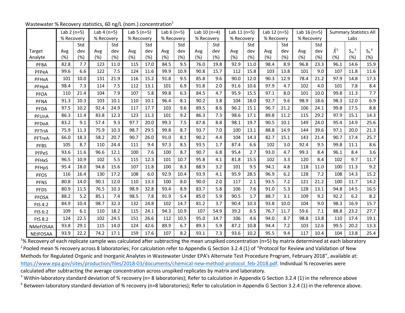Wastewater % Recovery statistics, 60 ng/L (nom.) concentration $1$ 

|              | Lab $2(n=5)$ |      | Lab $4(n=5)$ |      | Lab $5(n=5)$ |      | Lab $6(n=5)$ |      | Lab $10(n=4)$ |      | Lab $11(n=5)$ |      | Lab $12(n=5)$ |      | Lab $16(n=5)$ |      |             | <b>Summary Statistics All</b> |                    |
|--------------|--------------|------|--------------|------|--------------|------|--------------|------|---------------|------|---------------|------|---------------|------|---------------|------|-------------|-------------------------------|--------------------|
|              | % Recovery   |      | % Recovery   |      | % Recovery   |      | % Recovery   |      | % Recovery    |      | % Recovery    |      | % Recovery    |      | % Recovery    |      |             | Labs                          |                    |
|              |              | Std  |              | Std  |              | Std  |              | Std  |               | Std  |               | Std  |               | Std  |               | Std  |             |                               |                    |
| Target       | Avg          | dev  | Avg          | dev  | Avg          | dev  | Avg          | dev  | Avg           | dev  | Avg           | dev  | Avg           | dev  | Avg           | dev  | $\bar{X}^2$ | $S_w^3$                       | $S_b$ <sup>4</sup> |
| Analyte      | (% )         | (%)  | (%)          | (%)  | (%)          | (%)  | (% )         | (%)  | (%)           | (%)  | (%)           | (%)  | (%)           | (%)  | (%)           | (%)  | (%)         | (%)                           | (%)                |
| PFBA         | 82.8         | 7.7  | 123          | 11.0 | 115          | 17.0 | 84.5         | 9.5  | 76.0          | 19.8 | 92.9          | 11.0 | 98.4          | 8.9  | 96.8          | 23.3 | 96.1        | 14.6                          | 15.9               |
| PFPeA        | 99.6         | 6.6  | 122          | 7.5  | 124          | 11.6 | 99.9         | 10.9 | 90.8          | 15.7 | 112           | 15.8 | 103           | 13.8 | 101           | 9.0  | 107         | 11.8                          | 11.6               |
| PFHxA        | 101          | 10.0 | 131          | 21.9 | 116          | 15.2 | 91.8         | 9.5  | 85.8          | 9.6  | 90.0          | 12.0 | 90.3          | 12.9 | 78.4          | 21.2 | 97.9        | 14.8                          | 17.3               |
| PFHpA        | 98.4         | 7.3  | 114          | 7.5  | 112          | 13.1 | 101          | 6.9  | 91.8          | 2.0  | 91.6          | 10.6 | 97.9          | 4.7  | 102           | 4.0  | 101         | 7.8                           | 8.4                |
| PFOA         | 110          | 21.4 | 104          | 7.9  | 107          | 5.8  | 99.8         | 6.3  | 84.5          | 4.7  | 95.9          | 15.5 | 97.1          | 8.0  | 101           | 10.0 | 99.8        | 11.3                          | 7.7                |
| <b>PFNA</b>  | 91.3         | 10.3 | 103          | 10.1 | 110          | 10.1 | 96.4         | 8.1  | 90.2          | 3.8  | 104           | 18.0 | 92.7          | 9.6  | 98.9          | 18.6 | 98.3        | 12.0                          | 6.9                |
| PFDA         | 97.5         | 10.2 | 92.4         | 24.9 | 117          | 17.7 | 103          | 9.6  | 89.5          | 8.6  | 96.2          | 15.1 | 96.7          | 21.2 | 106           | 24.1 | 99.8        | 17.5                          | 8.8                |
| PFUnA        | 86.3         | 11.4 | 83.8         | 12.3 | 123          | 11.3 | 101          | 9.2  | 86.3          | 7.3  | 98.6          | 17.1 | 89.8          | 11.2 | 115           | 29.2 | 97.9        | 15.1                          | 14.3               |
| PFDoA        | 83.2         | 9.1  | 57.4         | 9.3  | 97.7         | 20.0 | 99.3         | 7.5  | 87.8          | 8.8  | 98.1          | 19.7 | 90.5          | 10.1 | 149           | 24.0 | 95.4        | 14.9                          | 25.6               |
| PFTriA       | 75.9         | 11.3 | 75.9         | 10.3 | 98.7         | 29.5 | 99.8         | 8.7  | 93.7          | 7.0  | 100           | 13.1 | 88.8          | 14.9 | 144           | 39.6 | 97.1        | 20.0                          | 21.3               |
| PFTreA       | 66.0         | 18.3 | 58.2         | 20.7 | 90.7         | 26.0 | 91.0         | 8.1  | 90.2          | 4.4  | 104           | 14.3 | 82.7          | 15.1 | 143           | 21.4 | 90.7        | 17.4                          | 25.7               |
| <b>PFBS</b>  | 105          | 8.7  | 110          | 24.4 | 111          | 9.4  | 97.3         | 8.5  | 93.5          | 1.7  | 87.4          | 6.6  | 102           | 3.0  | 92.4          | 9.5  | 99.8        | 11.1                          | 8.6                |
| PFPeS        | 93.6         | 11.6 | 96.6         | 12.1 | 100          | 7.6  | 100          | 8.7  | 90.7          | 6.8  | 95.4          | 2.7  | 93.0          | 4.7  | 99.3          | 8.4  | 96.1        | 8.4                           | 3.6                |
| PFHxS        | 96.5         | 10.9 | 102          | 5.5  | 115          | 12.3 | 101          | 10.7 | 95.8          | 4.1  | 81.8          | 15.5 | 102           | 3.3  | 120           | 8.4  | 102         | 9.7                           | 11.7               |
| PFHpS        | 95.4         | 18.0 | 94.8         | 15.6 | 107          | 11.8 | 100          | 8.3  | 88.9          | 3.2  | 101           | 9.5  | 94.1          | 4.8  | 118           | 11.0 | 100         | 11.3                          | 9.2                |
| <b>PFOS</b>  | 116          | 16.4 | 130          | 17.2 | 108          | 6.0  | 92.9         | 10.4 | 93.9          | 4.1  | 95.9          | 28.5 | 96.9          | 6.2  | 128           | 7.2  | 108         | 14.3                          | 15.2               |
| <b>PFNS</b>  | 80.8         | 14.0 | 90.1         | 12.0 | 110          | 13.3 | 100          | 8.0  | 90.0          | 2.0  | 117           | 2.1  | 93.5          | 7.2  | 121           | 21.2 | 100         | 11.7                          | 14.2               |
| <b>PFDS</b>  | 80.9         | 11.5 | 76.5         | 10.3 | 98.9         | 32.8 | 93.4         | 8.9  | 83.7          | 5.8  | 106           | 7.6  | 91.0          | 5.3  | 128           | 13.1 | 94.8        | 14.5                          | 16.5               |
| <b>PFOSA</b> | 88.2         | 5.2  | 85.1         | 7.4  | 98.5         | 7.8  | 91.9         | 5.4  | 85.0          | 5.9  | 90.5          | 1.7  | 88.7          | 3.1  | 109           | 9.2  | 92.2        | 6.2                           | 8.2                |
| FtS 4:2      | 84.9         | 10.4 | 98.7         | 32.3 | 132          | 24.8 | 102          | 14.7 | 81.2          | 3.7  | 90.4          | 10.3 | 93.8          | 10.0 | 104           | 9.0  | 98.3        | 16.9                          | 15.7               |
| FtS 6:2      | 109          | 6.1  | 110          | 18.2 | 115          | 24.1 | 94.3         | 10.9 | 107           | 54.9 | 39.2          | 6.5  | 76.7          | 11.7 | 59.6          | 7.1  | 88.8        | 23.2                          | 27.7               |
| FtS 8:2      | 124          | 22.5 | 102          | 24.5 | 151          | 26.6 | 112          | 10.5 | 95.0          | 14.7 | 106           | 4.6  | 94.0          | 8.7  | 98.8          | 13.8 | 110         | 17.4                          | 19.1               |
| NMeFOSAA     | 93.8         | 29.1 | 115          | 14.0 | 124          | 42.6 | 89.9         | 6.7  | 89.3          | 5.9  | 87.2          | 10.8 | 94.4          | 7.2  | 103           | 12.6 | 99.5        | 20.2                          | 13.3               |
| NEtFOSAA     | 93.9         | 22.2 | 74.2         | 17.1 | 159          | 17.6 | 107          | 8.2  | 93.1          | 7.3  | 93.6          | 10.2 | 95.5          | 9.4  | 117           | 10.4 | 104         | 13.8                          | 25.4               |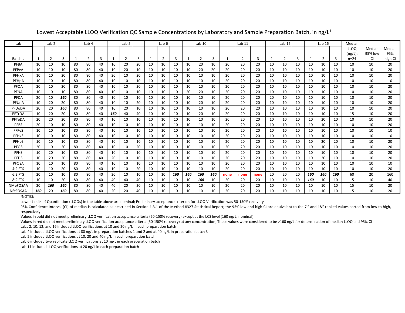| Lab             |     | Lab <sub>2</sub> |     |    | Lab 4 |    |     | Lab 5 |    |    | Lab 6          |     |     | Lab $10$       |     |      | Lab <sub>11</sub> |      |    | Lab <sub>12</sub> |    |     | Lab 16         |     | Median      |           |         |
|-----------------|-----|------------------|-----|----|-------|----|-----|-------|----|----|----------------|-----|-----|----------------|-----|------|-------------------|------|----|-------------------|----|-----|----------------|-----|-------------|-----------|---------|
|                 |     |                  |     |    |       |    |     |       |    |    |                |     |     |                |     |      |                   |      |    |                   |    |     |                |     | <b>LLOQ</b> | Median    | Median  |
|                 |     |                  |     |    |       |    |     |       |    |    |                |     |     |                |     |      |                   |      |    |                   |    |     |                |     | (ng/L);     | 95% low   | 95%     |
| Batch #         |     | 2                | 3   |    | 2     | 3  |     | 2     | 3  |    | $\overline{2}$ | 3   |     | $\overline{2}$ | 3   | -1   | 2                 | 3    |    | 2                 | 3  |     | $\overline{2}$ | 3   | $n = 24$    | <b>CI</b> | high CI |
| PFBA            | 10  | 10               | 10  | 80 | 80    | 40 | 10  | 20    | 20 | 10 | 10             | 10  | 10  | 20             | 10  | 20   | 20                | 20   | 10 | 10                | 10 | 10  | 10             | 10  | 10          | 10        | 20      |
| PFPeA           | 10  | 10               | 10  | 80 | 80    | 40 | 10  | 20    | 10 | 10 | 10             | 10  | 10  | 20             | 20  | 20   | 20                | 20   | 10 | 10                | 10 | 10  | 10             | 10  | 10          | 10        | 20      |
| PFHxA           | 10  | 10               | 20  | 80 | 80    | 40 | 20  | 10    | 20 | 10 | 10             | 10  | 10  | 10             | 10  | 20   | 20                | 20   | 10 | 10                | 10 | 10  | 10             | 10  | 10          | 10        | 20      |
| PFHpA           | 10  | 10               | 10  | 80 | 80    | 40 | 10  | 10    | 10 | 10 | 10             | 10  | 10  | 10             | 10  | 20   | 20                | 20   | 10 | 10                | 10 | 10  | 10             | 10  | 10          | 10        | 10      |
| PFOA            | 20  | 10               | 20  | 80 | 80    | 40 | 10  | 10    | 20 | 10 | 10             | 10  | 10  | 10             | 10  | 20   | 20                | 20   | 10 | 10                | 10 | 10  | 10             | 10  | 10          | 10        | 20      |
| PFNA            | 10  | 10               | 10  | 80 | 80    | 40 | 10  | 10    | 10 | 10 | 10             | 10  | 20  | 20             | 10  | 20   | 20                | 20   | 10 | 10                | 10 | 10  | 10             | 10  | 10          | 10        | 20      |
| PFDA            | 20  | 10               | 160 | 80 | 80    | 40 | 10  | 10    | 10 | 10 | 10             | 10  | 10  | 10             | 10  | 20   | 20                | 20   | 20 | 10                | 10 | 10  | 10             | 10  | 10          | 10        | 20      |
| PFUnA           | 10  | 20               | 20  | 80 | 80    | 40 | 10  | 10    | 20 | 10 | 10             | 10  | 10  | 20             | 10  | 20   | 20                | 20   | 10 | 10                | 10 | 10  | 10             | 10  | 10          | 10        | 20      |
| PFDoDA          | 20  | 20               | 160 | 80 | 80    | 40 | 10  | 20    | 10 | 10 | 10             | 10  | 10  | 10             | 10  | 20   | 20                | 20   | 10 | 10                | 10 | 10  | 10             | 10  | 10          | 10        | 20      |
| PFTrDA          | 10  | 20               | 20  | 80 | 80    | 40 | 160 | 40    | 40 | 10 | 10             | 10  | 10  | 20             | 10  | 20   | 20                | 20   | 10 | 10                | 10 | 10  | 10             | 10  | 15          | 10        | 20      |
| PFTeDA          | 20  | 20               | 20  | 80 | 80    | 40 | 10  | 10    | 10 | 10 | 10             | 10  | 10  | 10             | 10  | 20   | 20                | 20   | 10 | 10                | 10 | 10  | 20             | 10  | 10          | 10        | 20      |
| PFBS            | 20  | 10               | 10  | 80 | 80    | 40 | 10  | 10    | 10 | 10 | 10             | 10  | 10  | 10             | 10  | 20   | 20                | 20   | 10 | 10                | 10 | 10  | 10             | 10  | 10          | 10        | 20      |
| PFPeS           | 10  | 10               | 10  | 80 | 80    | 40 | 10  | 10    | 10 | 10 | 10             | 10  | 10  | 10             | 10  | 20   | 20                | 20   | 10 | 10                | 10 | 10  | 10             | 10  | 10          | 10        | 10      |
| PFHxS           | 10  | 10               | 10  | 80 | 80    | 40 | 10  | 10    | 10 | 10 | 10             | 10  | 10  | 10             | 10  | 20   | 20                | 20   | 10 | 10                | 10 | 10  | 10             | 10  | 10          | 10        | 10      |
| PFHpS           | 10  | 10               | 10  | 80 | 80    | 40 | 10  | 10    | 10 | 10 | 10             | 10  | 10  | 10             | 10  | 20   | 20                | 20   | 10 | 10                | 10 | 10  | 20             | 20  | 10          | 10        | 20      |
| <b>PFOS</b>     | 20  | 10               | 20  | 80 | 80    | 40 | 10  | 10    | 20 | 10 | 10             | 10  | 10  | 10             | 10  | 20   | 20                | 20   | 10 | 10                | 10 | 10  | 10             | 10  | 10          | 10        | 20      |
| <b>PFNS</b>     | 10  | 20               | 10  | 80 | 80    | 40 | 10  | 10    | 10 | 10 | 10             | 10  | 10  | 10             | 10  | 20   | 20                | 20   | 10 | 10                | 10 | 10  | 10             | 10  | 10          | 10        | 20      |
| PFDS            | 10  | 20               | 20  | 80 | 80    | 40 | 20  | 10    | 10 | 10 | 10             | 10  | 10  | 10             | 10  | 20   | 20                | 20   | 10 | 10                | 10 | 10  | 20             | 10  | 10          | 10        | 20      |
| <b>PFOSA</b>    | 10  | 10               | 10  | 80 | 80    | 40 | 10  | 10    | 10 | 10 | 10             | 10  | 10  | 10             | 10  | 20   | 20                | 20   | 10 | 10                | 10 | 10  | 10             | 10  | 10          | 10        | 10      |
| 4:2 FTS         | 10  | 10               | 20  | 80 | 80    | 40 | 10  | 10    | 20 | 10 | 10             | 10  | 10  | 10             | 10  | 20   | 20                | 20   | 10 | 10                | 10 | 10  | 10             | 10  | 10          | 10        | 20      |
| 6:2 FTS         | 20  | 10               | 10  | 80 | 80    | 40 | 20  | 10    | 10 | 10 | 10             | 160 | 160 | 160            | 160 | none | none              | none | 20 | 20                | 20 | 160 | 160            | 160 | 60          | 20        | 160     |
| 8:2 FTS         | 10  | 10               | 20  | 80 | 80    | 40 | 40  | 40    | 40 | 10 | 10             | 10  | 10  | 160            | 10  | 20   | 20                | 20   | 10 | 10                | 10 | 160 | 10             | 10  | 15          | 10        | 40      |
| <b>NMeFOSAA</b> | 20  | 160              | 160 | 80 | 80    | 40 | 40  | 20    | 20 | 10 | 10             | 10  | 10  | 10             | 10  | 20   | 20                | 20   | 10 | 10                | 10 | 10  | 10             | 10  | 15          | 10        | 20      |
| NEtFOSAA        | 160 | 20               | 160 | 80 | 80    | 40 | 20  | 20    | 40 | 10 | 10             | 10  | 10  | 10             | 10  | 20   | 20                | 20   | 10 | 10                | 10 | 10  | 10             | 10  | 15          | 10        | 20      |

## Lowest Acceptable LLOQ Verification QC Sample Concentrations by Laboratory and Sample Preparation Batch, in ng/L<sup>1</sup>

1 NOTES:

Lower Limits of Quantitation (LLOQs) in the table above are nominal; Preliminary acceptance criterion for LLOQ Verification was 50-150% recovery

95% Confidence Interval (CI) of median is calculated as described in Section 1.3.1 of the Method 8327 Statistical Report; the 95% low and high CI are equivalent to the 7<sup>th</sup> and 18<sup>th</sup> ranked values sorted from low to hig respectively.

Values in bold did not meet preliminary LLOQ verification acceptance criteria (50-150% recovery) except at the LCS level (160 ng/L, nominal)

Values in red did not meet preliminary LLOQ verification acceptance criteria (50-150% recovery) at any concentration; These values were considered to be >160 ng/L for determination of median LLOQ and 95% CI

Labs 2, 10, 12, and 16 included LLOQ verifications at 10 and 20 ng/L in each preparation batch

Lab 4 included LLOQ verifications at 80 ng/L in preparation batches 1 and 2 and at 40 ng/L in preparation batch 3

Lab 5 included LLOQ verifications at 10, 20 and 40 ng/L in each preparation batch

Lab 6 included two replicate LLOQ verifications at 10 ng/L in each preparation batch

Lab 11 included LLOQ verifications at 20 ng/L in each preparation batch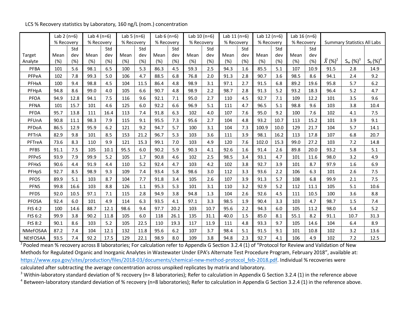LCS % Recovery statistics by Laboratory, 160 ng/L (nom.) concentration

|              | Lab $2(n=6)$ |      | Lab $4(n=6)$ |      | Lab $5(n=6)$ |      | Lab $6(n=6)$ |       | Lab $10(n=6)$ |      | Lab $11(n=6)$ |     | Lab $12(n=6)$ |      | Lab $16(n=6)$ |      |                            |                                    |                          |
|--------------|--------------|------|--------------|------|--------------|------|--------------|-------|---------------|------|---------------|-----|---------------|------|---------------|------|----------------------------|------------------------------------|--------------------------|
|              | % Recovery   |      | % Recovery   |      | % Recovery   |      | % Recovery   |       | % Recovery    |      | % Recovery    |     | % Recovery    |      | % Recovery    |      |                            | <b>Summary Statistics All Labs</b> |                          |
|              |              | Std  |              | Std  |              | Std  |              | Std   |               | Std  |               | Std |               | Std  |               | Std  |                            |                                    |                          |
| Target       | Mean         | dev  | Mean         | dev  | Mean         | dev  | Mean         | dev   | Mean          | dev  | Mean          | dev | Mean          | dev  | Mean          | dev  |                            |                                    |                          |
| Analyte      | (%)          | (%)  | (% )         | (%)  | (%)          | (%)  | (%)          | (% )  | (%)           | (%)  | (%)           | (%) | (%)           | (%)  | (%)           | (%)  | $\bar{X}$ (%) <sup>2</sup> | $S_w (%)^3$                        | $S_{b}$ (%) <sup>4</sup> |
| PFBA         | 101          | 5.6  | 98.1         | 6.5  | 100          | 5.3  | 86.3         | 4.5   | 59.3          | 2.5  | 94.3          | 1.6 | 85.5          | 5.1  | 107           | 10.9 | 91.5                       | 2.8                                | 14.9                     |
| PFPeA        | 102          | 7.8  | 99.3         | 5.0  | 106          | 4.7  | 88.5         | 6.8   | 76.8          | 2.0  | 91.3          | 2.8 | 90.7          | 3.6  | 98.5          | 8.6  | 94.1                       | 2.4                                | 9.2                      |
| PFHxA        | 100          | 9.4  | 98.8         | 4.5  | 104          | 11.5 | 86.4         | 4.8   | 98.9          | 3.1  | 97.1          | 2.7 | 91.5          | 6.8  | 89.2          | 19.6 | 95.8                       | 5.7                                | $6.2$                    |
| PFHpA        | 94.8         | 8.6  | 99.0         | 4.0  | 105          | 6.6  | 90.7         | 4.8   | 98.9          | 2.2  | 98.7          | 2.8 | 91.3          | 5.2  | 93.2          | 18.3 | 96.4                       | 5.2                                | 4.7                      |
| PFOA         | 94.9         | 12.8 | 94.1         | 7.5  | 116          | 9.6  | 92.1         | 7.1   | 95.0          | 2.7  | 110           | 4.5 | 92.7          | 7.1  | 109           | 12.2 | 101                        | 3.5                                | 9.6                      |
| <b>PFNA</b>  | 101          | 15.7 | 101          | 4.6  | 125          | 6.0  | 92.2         | 6.6   | 96.9          | 5.1  | 111           | 4.7 | 96.5          | 5.1  | 98.8          | 9.6  | 103                        | 3.8                                | 10.4                     |
| PFDA         | 95.7         | 13.8 | 111          | 16.4 | 113          | 7.4  | 91.8         | 6.3   | 102           | 4.0  | 107           | 7.6 | 95.0          | 9.2  | 100           | 7.6  | 102                        | 4.1                                | 7.5                      |
| PFUnA        | 90.8         | 11.1 | 98.3         | 7.9  | 115          | 9.1  | 95.5         | 7.3   | 95.6          | 2.7  | 104           | 4.8 | 93.2          | 10.7 | 113           | 15.2 | 101                        | 3.9                                | 9.1                      |
| PFDoA        | 86.5         | 12.9 | 95.9         | 6.2  | 121          | 9.2  | 94.7         | 5.7   | 100           | 3.1  | 104           | 7.3 | 100.9         | 10.0 | 129           | 21.7 | 104                        | 5.7                                | 14.1                     |
| PFTriA       | 82.9         | 9.8  | 101          | 8.5  | 153          | 21.2 | 96.7         | 5.3   | 103           | 3.6  | 111           | 3.9 | 98.1          | 16.2 | 113           | 17.8 | 107                        | 6.8                                | 20.7                     |
| PFTreA       | 73.6         | 8.3  | 110          | 9.9  | 121          | 15.3 | 99.1         | 7.0   | 103           | 4.9  | 120           | 7.6 | 102.0         | 15.3 | 99.0          | 27.2 | 103                        | 7.2                                | 14.8                     |
| <b>PFBS</b>  | 91.1         | 7.5  | 105          | 10.1 | 95.5         | 6.0  | 90.2         | 5.9   | 90.3          | 4.1  | 92.6          | 1.6 | 91.4          | 2.6  | 89.8          | 20.0 | 93.2                       | 5.8                                | 5.1                      |
| PFPeS        | 93.9         | 7.9  | 99.9         | 5.2  | 105          | 1.7  | 90.8         | 4.6   | 102           | 2.5  | 98.5          | 3.4 | 93.1          | 4.7  | 101           | 11.6 | 98.0                       | 3.2                                | 4.9                      |
| PFHxS        | 90.6         | 4.4  | 91.9         | 4.4  | 110          | 5.2  | 92.4         | 4.7   | 103           | 4.2  | 102           | 3.8 | 92.7          | 3.9  | 101           | 8.7  | 97.9                       | 1.6                                | 6.9                      |
| PFHpS        | 92.7         | 8.5  | 98.9         | 9.3  | 109          | 7.4  | 93.4         | 5.8   | 98.6          | 3.0  | 112           | 3.3 | 93.6          | 2.2  | 106           | 6.3  | 101                        | 2.6                                | 7.5                      |
| <b>PFOS</b>  | 89.9         | 5.1  | 103          | 8.7  | 104          | 7.7  | 91.8         | 3.4   | 105           | 2.6  | 107           | 3.9 | 91.3          | 5.7  | 108           | 6.8  | 99.9                       | 2.1                                | 7.5                      |
| <b>PFNS</b>  | 99.8         | 16.6 | 103          | 8.8  | 126          | 1.1  | 95.3         | 5.3   | 101           | 3.1  | 110           | 3.2 | 92.9          | 5.2  | 112           | 11.1 | 105                        | 5.1                                | 10.6                     |
| <b>PFDS</b>  | 92.0         | 10.5 | 97.1         | 7.1  | 115          | 2.8  | 94.9         | 3.8   | 94.8          | 1.3  | 104           | 2.6 | 92.6          | 4.5  | 111           | 10.5 | 100                        | 3.6                                | 8.8                      |
| <b>PFOSA</b> | 92.4         | 6.0  | 101          | 4.9  | 114          | 6.3  | 93.5         | 4.1   | 97.1          | 3.3  | 98.5          | 1.9 | 90.4          | 3.3  | 103           | 4.7  | 98.7                       | 1.5                                | 7.4                      |
| FtS 4:2      | 100          | 14.6 | 88.7         | 12.1 | 98.6         | 9.4  | 97.7         | 20.2  | 103           | 10.7 | 95.6          | 2.2 | 94.3          | 6.0  | 105           | 11.2 | 98.0                       | 5.4                                | 5.2                      |
| FtS 6:2      | 99.9         | 3.8  | 90.2         | 11.8 | 105          | 6.0  | 118          | 26.1  | 135           | 31.1 | 40.0          | 1.5 | 85.0          | 8.1  | 55.1          | 8.2  | 91.1                       | 10.7                               | 31.3                     |
| FtS 8:2      | 90.1         | 8.6  | 103          | 5.2  | 105          | 22.5 | 110          | 19.3  | 117           | 11.9 | 111           | 4.8 | 93.3          | 9.7  | 105           | 14.6 | 104                        | 6.4                                | 8.9                      |
| NMeFOSAA     | 87.2         | 7.4  | 104          | 12.1 | 132          | 11.8 | 95.6         | $6.2$ | 107           | 3.7  | 98.4          | 5.1 | 91.5          | 9.1  | 101           | 10.8 | 102                        | 3.2                                | 13.6                     |
| NEtFOSAA     | 93.5         | 7.4  | 92.2         | 17.5 | 129          | 22.1 | 98.9         | 8.0   | 109           | 3.8  | 94.8          | 2.3 | 92.7          | 4.1  | 106           | 4.9  | 102                        | 7.2                                | 12.5                     |

<sup>2</sup> Pooled mean % recovery across 8 laboratories; For calculation refer to Appendix G Section 3.2.4 (1) of "Protocol for Review and Validation of New Methods for Regulated Organic and Inorganic Analytes in Wastewater Under EPA's Alternate Test Procedure Program, February 2018", available at: https://www.epa.gov/sites/production/files/2018-03/documents/chemical-new-method-protocol feb-2018.pdf. Individual % recoveries were

calculated after subtracting the average concentration across unspiked replicates by matrix and laboratory.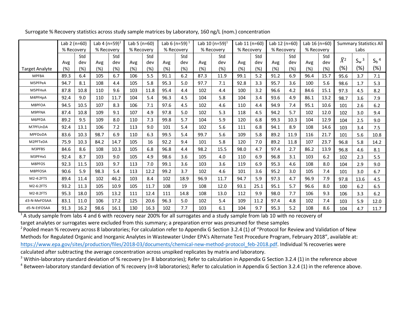|                       | Lab $2(n=60)$ |          | Lab 4 (n=59) <sup>1</sup> |      | Lab 5 ( $n=60$ ) |      |      | Lab 6 (n=59) $1$ |      | Lab 10 (n=59) $1$ | Lab 11 (n=60) |      | Lab 12 (n=60) |      | Lab $16(n=60)$ |      |             | <b>Summary Statistics All</b> |                    |
|-----------------------|---------------|----------|---------------------------|------|------------------|------|------|------------------|------|-------------------|---------------|------|---------------|------|----------------|------|-------------|-------------------------------|--------------------|
|                       | % Recovery    |          | % Recovery                |      | % Recovery       |      |      | % Recovery       |      | % Recovery        | % Recovery    |      | % Recovery    |      | % Recovery     |      |             | Labs                          |                    |
|                       |               | Std      |                           | Std  |                  | Std  |      | Std              |      | Std               |               | Std  |               | Std  |                | Std  | $\bar{X}^2$ | $S_w^3$                       | $S_b$ <sup>4</sup> |
|                       | Avg           | dev      | Avg                       | dev  | Avg              | dev  | Avg  | dev              | Avg  | dev               | Avg           | dev  | Avg           | dev  | Avg            | dev  |             |                               |                    |
| <b>Target Analyte</b> | (%)           | (%)      | (%)                       | (%)  | (%)              | (%)  | (%)  | (%)              | (%)  | (%)               | (%)           | (%)  | (%)           | (%)  | (%)            | (%)  | (%)         | (%)                           | (% )               |
| <b>MPFBA</b>          | 89.3          | 6.4      | 105                       | 6.7  | 106              | 5.5  | 91.1 | 6.2              | 87.3 | 11.9              | 99.1          | 5.2  | 91.2          | 6.9  | 96.4           | 15.7 | 95.6        | 3.7                           | 7.1                |
| M5PFPeA               | 94.7          | 8.1      | 108                       | 4.4  | 105              | 5.8  | 95.3 | 5.0              | 97.7 | 7.1               | 92.8          | 3.3  | 95.7          | 3.6  | 100            | 5.6  | 98.6        | 1.7                           | 5.3                |
| M5PFHxA               | 87.8          | 10.8     | 110                       | 9.6  | 103              | 11.8 | 95.4 | 4.4              | 102  | 4.4               | 100           | 3.2  | 96.6          | 4.2  | 84.6           | 15.1 | 97.3        | 4.5                           | 8.2                |
| M4PFHpA               | 92.4          | 9.0      | 110                       | 11.7 | 104              | 5.4  | 96.3 | 4.5              | 104  | 5.8               | 104           | 3.4  | 93.6          | 4.9  | 86.1           | 13.2 | 98.7        | 3.6                           | 7.9                |
| M8PFOA                | 94.5          | 10.5     | 107                       | 8.3  | 106              | 7.1  | 97.6 | 4.5              | 102  | 4.6               | 110           | 4.4  | 94.9          | 7.4  | 95.1           | 10.6 | 101         | 2.6                           | 6.2                |
| M9PFNA                | 87.4          | 10.8     | 109                       | 9.1  | 107              | 4.9  | 97.8 | 5.0              | 102  | 5.3               | 118           | 4.5  | 94.2          | 5.7  | 102            | 12.0 | 102         | 3.0                           | 9.4                |
| M6PFDA                | 89.2          | 9.5      | 109                       | 8.0  | 110              | 7.3  | 99.8 | 5.7              | 104  | 5.9               | 120           | 6.8  | 99.3          | 10.3 | 104            | 12.9 | 104         | 2.5                           | 9.0                |
| M7PFUnDA              | 92.4          | 13.1     | 106                       | 7.2  | 113              | 9.0  | 101  | 5.4              | 102  | 5.6               | 111           | 6.8  | 94.1          | 8.9  | 108            | 14.6 | 103         | 3.4                           | 7.5                |
| MPFDoDA               | 83.6          | 10.3     | 98.7                      | 6.9  | 110              | 6.3  | 99.5 | 5.4              | 99.7 | 5.6               | 109           | 5.8  | 89.2          | 11.9 | 116            | 21.7 | 101         | 5.6                           | 10.8               |
| M2PFTeDA              | 75.9          | 10.3     | 84.2                      | 14.7 | 105              | 16   | 92.2 | 9.4              | 101  | 5.8               | 120           | 7.0  | 89.2          | 11.8 | 107            | 23.7 | 96.8        | 5.8                           | 14.2               |
| M3PFBS                | 84.6          | 8.6      | 108                       | 10.3 | 105              | 6.8  | 96.8 | 4.4              | 98.2 | 15.5              | 98.0          | 4.7  | 97.4          | 2.7  | 86.2           | 13.9 | 96.8        | 4.6                           | 8.1                |
| M3PFHxS               | 92.4          | 8.7      | 103                       | 9.0  | 105              | 4.9  | 98.6 | 3.6              | 105  | 4.0               | 110           | 6.9  | 96.8          | 3.1  | 103            | 6.2  | 102         | 2.3                           | 5.5                |
| M8PFOS                | 92.3          | 11.5     | 103                       | 9.7  | 113              | 7.0  | 99.1 | 3.6              | 103  | 3.6               | 119           | 6.9  | 95.3          | 4.6  | 108            | 8.0  | 104         | 2.9                           | 9.0                |
| M8PFOSA               | 90.6          | 5.9      | 98.3                      | 5.4  | 113              | 12.2 | 99.2 | 3.7              | 102  | 4.6               | 101           | 3.6  | 95.2          | 3.0  | 105            | 7.4  | 101         | 3.0                           | 6.7                |
| M2-4:2FTS             | 89.4          | 11.4     | 102                       | 46.2 | 103              | 8.4  | 102  | 18.9             | 96.9 | 11.7              | 94.7          | 5.9  | 97.3          | 4.7  | 96.9           | 7.9  | 97.8        | 13.6                          | 4.5                |
| M2-6:2FTS             | 93.2          | 11.3     | 105                       | 10.9 | 105              | 11.7 | 108  | 19               | 108  | 12.0              | 93.1          | 25.1 | 95.1          | 5.7  | 96.6           | 8.0  | 100         | 6.2                           | 6.5                |
| M2-8:2FTS             | 95.3          | 18.0     | 105                       | 13.2 | 111              | 12.4 | 111  | 14.8             | 108  | 13.0              | 112           | 9.9  | 98.0          | 7.7  | 106            | 9.3  | 106         | 3.3                           | 6.2                |
| d3-N-MeFOSAA          | 83.1          | $11.0\,$ | 106                       | 17.2 | 125              | 20.6 | 96.3 | 5.0              | 102  | 5.4               | 109           | 11.2 | 97.4          | 4.8  | 102            | 7.4  | 103         | 5.9                           | 12.0               |
| d5-N-EtFOSAA          | 91.3          | 16.2     | 98.6                      | 16.1 | 130              | 16.3 | 102  | 7.7              | 103  | 6.1               | 104           | 9.7  | 95.3          | 5.2  | 108            | 8.6  | 104         | 4.7                           | 11.7               |

Surrogate % Recovery statistics across study sample matrices by Laboratory, 160 ng/L (nom.) concentration

 $1$  A study sample from labs 4 and 6 with recovery near 200% for all surrogates and a study sample from lab 10 with no recovery of target analytes or surrogates were excluded from this summary; a preparation error was presumed for these samples

 $2$  Pooled mean % recovery across 8 laboratories; For calculation refer to Appendix G Section 3.2.4 (1) of "Protocol for Review and Validation of New Methods for Regulated Organic and Inorganic Analytes in Wastewater Under EPA's Alternate Test Procedure Program, February 2018", available at: https://www.epa.gov/sites/production/files/2018-03/documents/chemical-new-method-protocol feb-2018.pdf. Individual % recoveries were calculated after subtracting the average concentration across unspiked replicates by matrix and laboratory.

<sup>3</sup> Within-laboratory standard deviation of % recovery (n= 8 laboratories); Refer to calculation in Appendix G Section 3.2.4 (1) in the reference above  $4$  Between-laboratory standard deviation of % recovery (n=8 laboratories); Refer to calculation in Appendix G Section 3.2.4 (1) in the reference above.